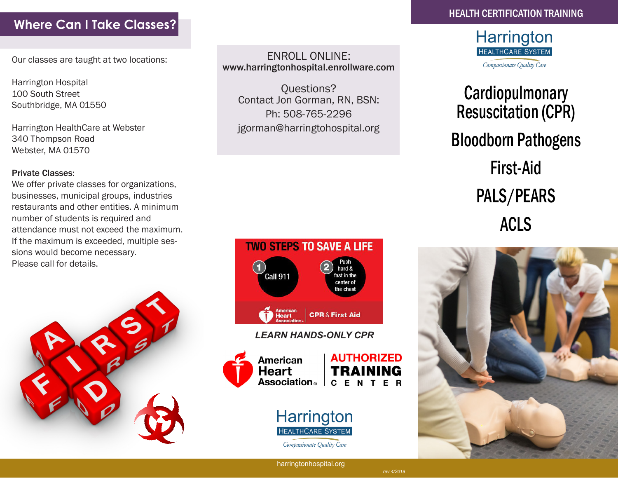### **Where Can I Take Classes?**

Our classes are taught at two locations:

Harrington Hospital 100 South Street Southbridge, MA 01550

Harrington HealthCare at Webster 340 Thompson Road Webster, MA 01570

#### Private Classes:

We offer private classes for organizations, businesses, municipal groups, industries restaurants and other entities. A minimum number of students is required and attendance must not exceed the maximum. If the maximum is exceeded, multiple sessions would become necessary. Please call for details.



ENROLL ONLINE: www.harringtonhospital.enrollware.com

Questions? Contact Jon Gorman, RN, BSN: Ph: 508-765-2296 jgorman@harringtohospital.org



*LEARN HANDS-ONLY CPR*



**AUTHORIZED Association**<sub>®</sub> **CENTER** 



Compassionate Quality Care



# **Cardiopulmonary** Resuscitation (CPR) Bloodborn Pathogens First-Aid PALS/PEARS ACLS



harringtonhospital.org